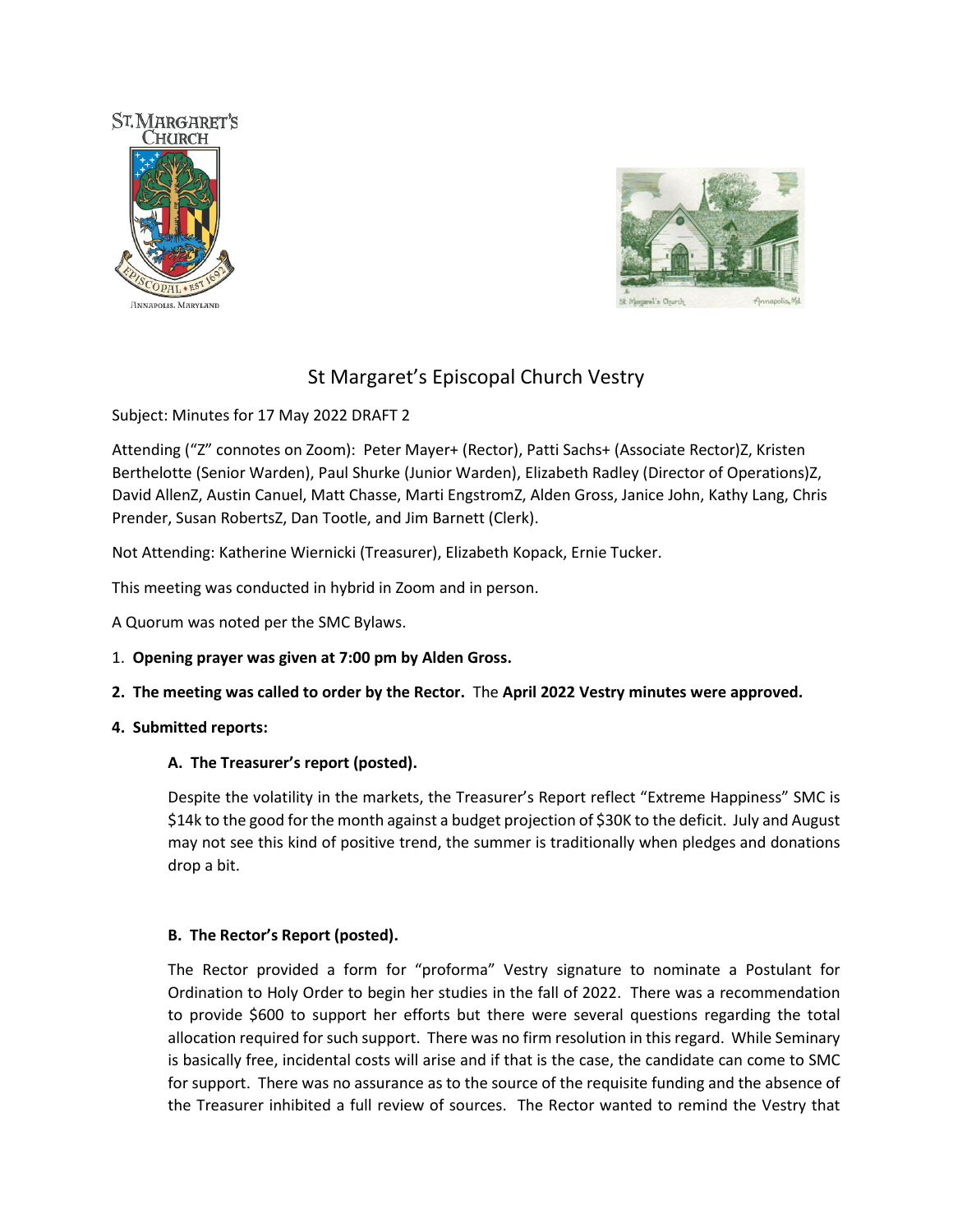



# St Margaret's Episcopal Church Vestry

Subject: Minutes for 17 May 2022 DRAFT 2

Attending ("Z" connotes on Zoom): Peter Mayer+ (Rector), Patti Sachs+ (Associate Rector)Z, Kristen Berthelotte (Senior Warden), Paul Shurke (Junior Warden), Elizabeth Radley (Director of Operations)Z, David AllenZ, Austin Canuel, Matt Chasse, Marti EngstromZ, Alden Gross, Janice John, Kathy Lang, Chris Prender, Susan RobertsZ, Dan Tootle, and Jim Barnett (Clerk).

Not Attending: Katherine Wiernicki (Treasurer), Elizabeth Kopack, Ernie Tucker.

This meeting was conducted in hybrid in Zoom and in person.

A Quorum was noted per the SMC Bylaws.

- 1. **Opening prayer was given at 7:00 pm by Alden Gross.**
- **2. The meeting was called to order by the Rector.** The **April 2022 Vestry minutes were approved.**

# **4. Submitted reports:**

# **A. The Treasurer's report (posted).**

Despite the volatility in the markets, the Treasurer's Report reflect "Extreme Happiness" SMC is \$14k to the good for the month against a budget projection of \$30K to the deficit. July and August may not see this kind of positive trend, the summer is traditionally when pledges and donations drop a bit.

### **B. The Rector's Report (posted).**

The Rector provided a form for "proforma" Vestry signature to nominate a Postulant for Ordination to Holy Order to begin her studies in the fall of 2022. There was a recommendation to provide \$600 to support her efforts but there were several questions regarding the total allocation required for such support. There was no firm resolution in this regard. While Seminary is basically free, incidental costs will arise and if that is the case, the candidate can come to SMC for support. There was no assurance as to the source of the requisite funding and the absence of the Treasurer inhibited a full review of sources. The Rector wanted to remind the Vestry that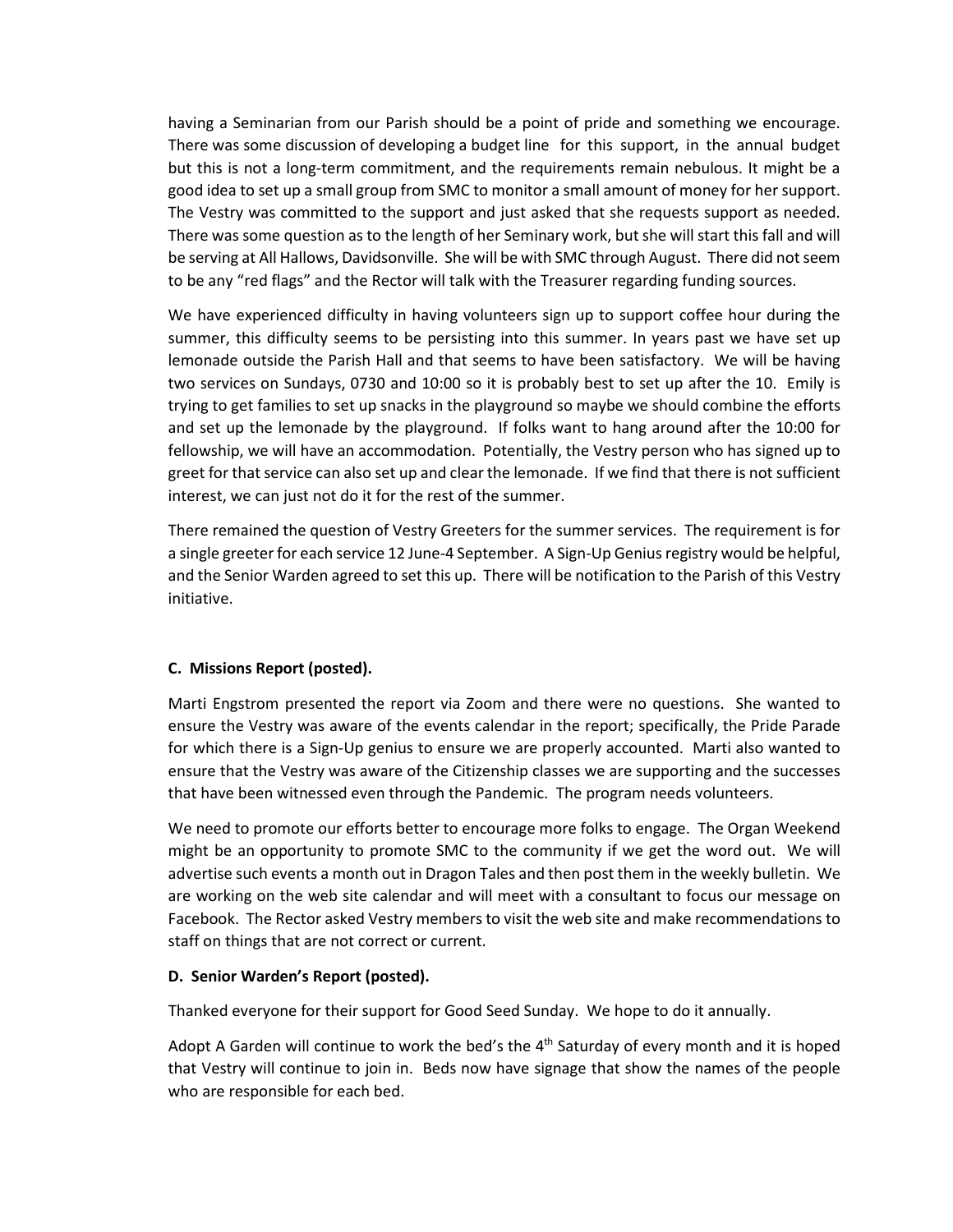having a Seminarian from our Parish should be a point of pride and something we encourage. There was some discussion of developing a budget line for this support, in the annual budget but this is not a long-term commitment, and the requirements remain nebulous. It might be a good idea to set up a small group from SMC to monitor a small amount of money for her support. The Vestry was committed to the support and just asked that she requests support as needed. There was some question as to the length of her Seminary work, but she will start this fall and will be serving at All Hallows, Davidsonville. She will be with SMC through August. There did not seem to be any "red flags" and the Rector will talk with the Treasurer regarding funding sources.

We have experienced difficulty in having volunteers sign up to support coffee hour during the summer, this difficulty seems to be persisting into this summer. In years past we have set up lemonade outside the Parish Hall and that seems to have been satisfactory. We will be having two services on Sundays, 0730 and 10:00 so it is probably best to set up after the 10. Emily is trying to get families to set up snacks in the playground so maybe we should combine the efforts and set up the lemonade by the playground. If folks want to hang around after the 10:00 for fellowship, we will have an accommodation. Potentially, the Vestry person who has signed up to greet for that service can also set up and clear the lemonade. If we find that there is not sufficient interest, we can just not do it for the rest of the summer.

There remained the question of Vestry Greeters for the summer services. The requirement is for a single greeter for each service 12 June-4 September. A Sign-Up Genius registry would be helpful, and the Senior Warden agreed to set this up. There will be notification to the Parish of this Vestry initiative.

# **C. Missions Report (posted).**

 Marti Engstrom presented the report via Zoom and there were no questions. She wanted to ensure the Vestry was aware of the events calendar in the report; specifically, the Pride Parade for which there is a Sign-Up genius to ensure we are properly accounted. Marti also wanted to ensure that the Vestry was aware of the Citizenship classes we are supporting and the successes that have been witnessed even through the Pandemic. The program needs volunteers.

We need to promote our efforts better to encourage more folks to engage. The Organ Weekend might be an opportunity to promote SMC to the community if we get the word out. We will advertise such events a month out in Dragon Tales and then post them in the weekly bulletin. We are working on the web site calendar and will meet with a consultant to focus our message on Facebook. The Rector asked Vestry members to visit the web site and make recommendations to staff on things that are not correct or current.

### **D. Senior Warden's Report (posted).**

Thanked everyone for their support for Good Seed Sunday. We hope to do it annually.

Adopt A Garden will continue to work the bed's the  $4<sup>th</sup>$  Saturday of every month and it is hoped that Vestry will continue to join in. Beds now have signage that show the names of the people who are responsible for each bed.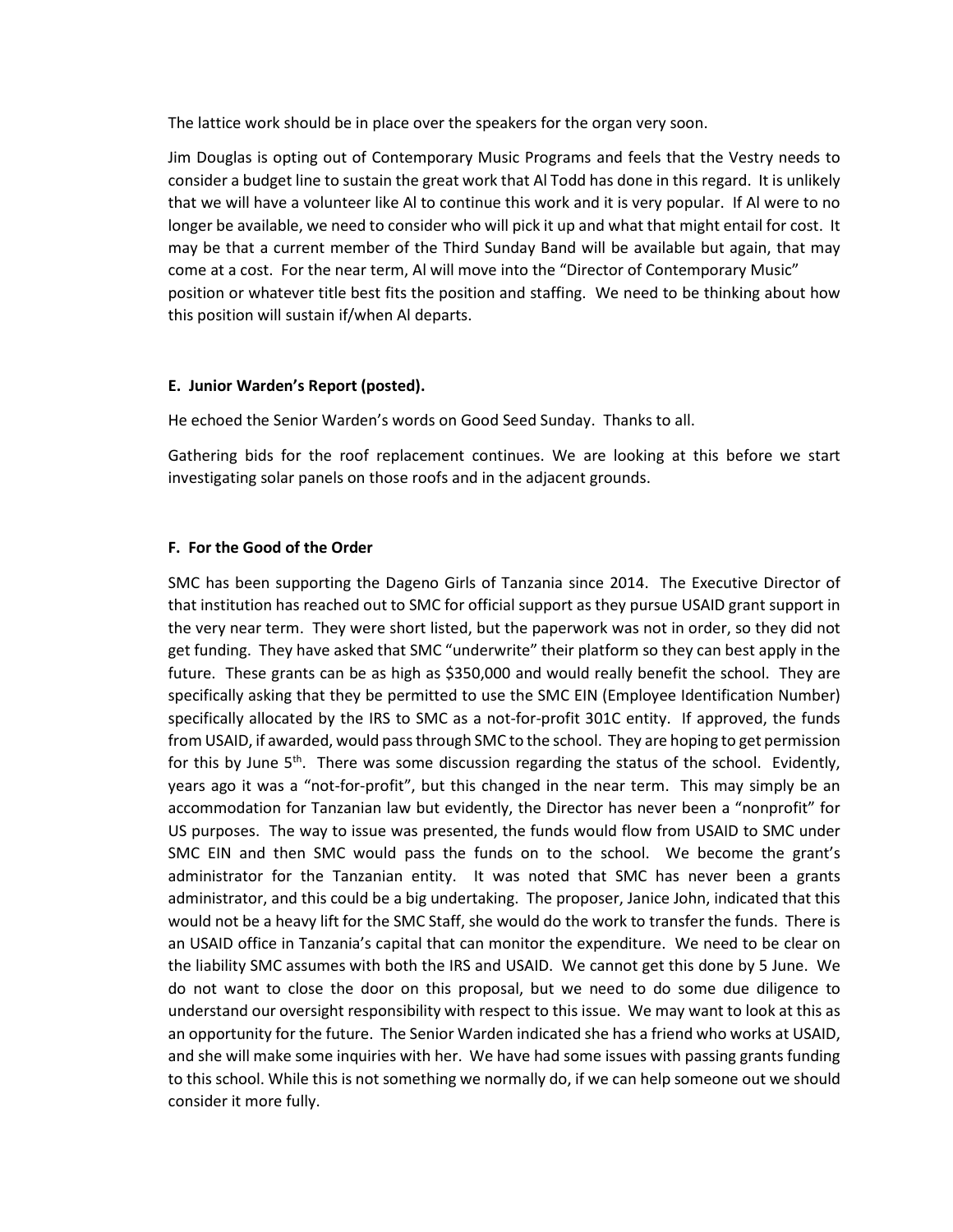The lattice work should be in place over the speakers for the organ very soon.

Jim Douglas is opting out of Contemporary Music Programs and feels that the Vestry needs to consider a budget line to sustain the great work that Al Todd has done in this regard. It is unlikely that we will have a volunteer like Al to continue this work and it is very popular. If Al were to no longer be available, we need to consider who will pick it up and what that might entail for cost. It may be that a current member of the Third Sunday Band will be available but again, that may come at a cost. For the near term, Al will move into the "Director of Contemporary Music" position or whatever title best fits the position and staffing. We need to be thinking about how this position will sustain if/when Al departs.

#### **E. Junior Warden's Report (posted).**

He echoed the Senior Warden's words on Good Seed Sunday. Thanks to all.

Gathering bids for the roof replacement continues. We are looking at this before we start investigating solar panels on those roofs and in the adjacent grounds.

#### **F. For the Good of the Order**

SMC has been supporting the Dageno Girls of Tanzania since 2014. The Executive Director of that institution has reached out to SMC for official support as they pursue USAID grant support in the very near term. They were short listed, but the paperwork was not in order, so they did not get funding. They have asked that SMC "underwrite" their platform so they can best apply in the future. These grants can be as high as \$350,000 and would really benefit the school. They are specifically asking that they be permitted to use the SMC EIN (Employee Identification Number) specifically allocated by the IRS to SMC as a not-for-profit 301C entity. If approved, the funds from USAID, if awarded, would pass through SMC to the school. They are hoping to get permission for this by June  $5<sup>th</sup>$ . There was some discussion regarding the status of the school. Evidently, years ago it was a "not-for-profit", but this changed in the near term. This may simply be an accommodation for Tanzanian law but evidently, the Director has never been a "nonprofit" for US purposes. The way to issue was presented, the funds would flow from USAID to SMC under SMC EIN and then SMC would pass the funds on to the school. We become the grant's administrator for the Tanzanian entity. It was noted that SMC has never been a grants administrator, and this could be a big undertaking. The proposer, Janice John, indicated that this would not be a heavy lift for the SMC Staff, she would do the work to transfer the funds. There is an USAID office in Tanzania's capital that can monitor the expenditure. We need to be clear on the liability SMC assumes with both the IRS and USAID. We cannot get this done by 5 June. We do not want to close the door on this proposal, but we need to do some due diligence to understand our oversight responsibility with respect to this issue. We may want to look at this as an opportunity for the future. The Senior Warden indicated she has a friend who works at USAID, and she will make some inquiries with her. We have had some issues with passing grants funding to this school. While this is not something we normally do, if we can help someone out we should consider it more fully.